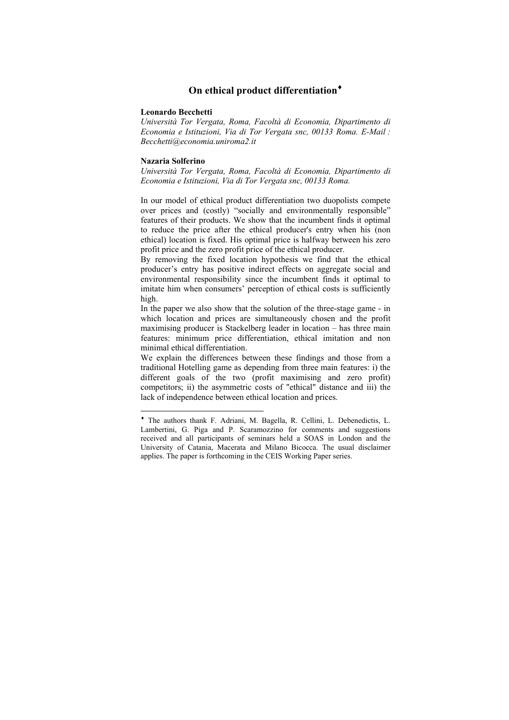# **On ethical product differentiation**♦

#### **Leonardo Becchetti**

*Università Tor Vergata, Roma, Facoltà di Economia, Dipartimento di Economia e Istituzioni, Via di Tor Vergata snc, 00133 Roma. E-Mail : Becchetti@economia.uniroma2.it* 

#### **Nazaria Solferino**

 $\overline{a}$ 

*Università Tor Vergata, Roma, Facoltà di Economia, Dipartimento di Economia e Istituzioni, Via di Tor Vergata snc, 00133 Roma.* 

In our model of ethical product differentiation two duopolists compete over prices and (costly) "socially and environmentally responsible" features of their products. We show that the incumbent finds it optimal to reduce the price after the ethical producer's entry when his (non ethical) location is fixed. His optimal price is halfway between his zero profit price and the zero profit price of the ethical producer.

By removing the fixed location hypothesis we find that the ethical producer's entry has positive indirect effects on aggregate social and environmental responsibility since the incumbent finds it optimal to imitate him when consumers' perception of ethical costs is sufficiently high.

In the paper we also show that the solution of the three-stage game - in which location and prices are simultaneously chosen and the profit maximising producer is Stackelberg leader in location – has three main features: minimum price differentiation, ethical imitation and non minimal ethical differentiation.

We explain the differences between these findings and those from a traditional Hotelling game as depending from three main features: i) the different goals of the two (profit maximising and zero profit) competitors; ii) the asymmetric costs of "ethical" distance and iii) the lack of independence between ethical location and prices.

<sup>♦</sup> The authors thank F. Adriani, M. Bagella, R. Cellini, L. Debenedictis, L. Lambertini, G. Piga and P. Scaramozzino for comments and suggestions received and all participants of seminars held a SOAS in London and the University of Catania, Macerata and Milano Bicocca. The usual disclaimer applies. The paper is forthcoming in the CEIS Working Paper series.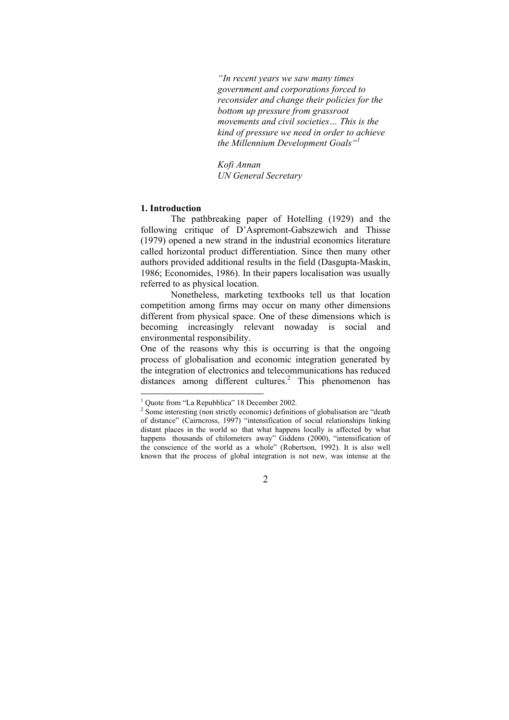*"In recent years we saw many times government and corporations forced to reconsider and change their policies for the bottom up pressure from grassroot movements and civil societies… This is the kind of pressure we need in order to achieve the Millennium Development Goals"1*

*Kofi Annan UN General Secretary* 

### **1. Introduction**

The pathbreaking paper of Hotelling (1929) and the following critique of D'Aspremont-Gabszewich and Thisse (1979) opened a new strand in the industrial economics literature called horizontal product differentiation. Since then many other authors provided additional results in the field (Dasgupta-Maskin, 1986; Economides, 1986). In their papers localisation was usually referred to as physical location.

Nonetheless, marketing textbooks tell us that location competition among firms may occur on many other dimensions different from physical space. One of these dimensions which is becoming increasingly relevant nowaday is social and environmental responsibility.

One of the reasons why this is occurring is that the ongoing process of globalisation and economic integration generated by the integration of electronics and telecommunications has reduced distances among different cultures.<sup>2</sup> This phenomenon has

<sup>&</sup>lt;sup>1</sup> Quote from "La Repubblica" 18 December 2002.

 $2^{2}$  Some interesting (non strictly economic) definitions of globalisation are "death of distance" (Cairncross, 1997) "intensification of social relationships linking distant places in the world so that what happens locally is affected by what happens thousands of chilometers away" Giddens (2000), "intensification of the conscience of the world as a whole" (Robertson, 1992). It is also well known that the process of global integration is not new, was intense at the

<sup>2</sup>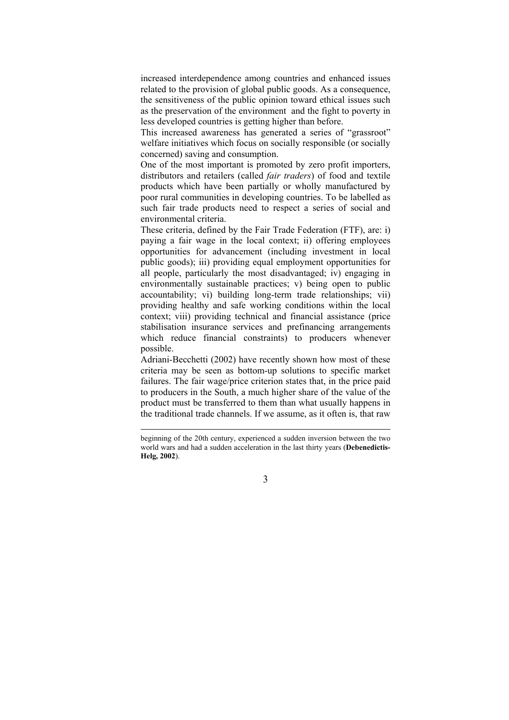increased interdependence among countries and enhanced issues related to the provision of global public goods. As a consequence, the sensitiveness of the public opinion toward ethical issues such as the preservation of the environment and the fight to poverty in less developed countries is getting higher than before.

This increased awareness has generated a series of "grassroot" welfare initiatives which focus on socially responsible (or socially concerned) saving and consumption.

One of the most important is promoted by zero profit importers, distributors and retailers (called *fair traders*) of food and textile products which have been partially or wholly manufactured by poor rural communities in developing countries. To be labelled as such fair trade products need to respect a series of social and environmental criteria.

These criteria, defined by the Fair Trade Federation (FTF), are: i) paying a fair wage in the local context; ii) offering employees opportunities for advancement (including investment in local public goods); iii) providing equal employment opportunities for all people, particularly the most disadvantaged; iv) engaging in environmentally sustainable practices; v) being open to public accountability; vi) building long-term trade relationships; vii) providing healthy and safe working conditions within the local context; viii) providing technical and financial assistance (price stabilisation insurance services and prefinancing arrangements which reduce financial constraints) to producers whenever possible.

Adriani-Becchetti (2002) have recently shown how most of these criteria may be seen as bottom-up solutions to specific market failures. The fair wage/price criterion states that, in the price paid to producers in the South, a much higher share of the value of the product must be transferred to them than what usually happens in the traditional trade channels. If we assume, as it often is, that raw

 $\overline{a}$ 

beginning of the 20th century, experienced a sudden inversion between the two world wars and had a sudden acceleration in the last thirty years (**Debenedictis-Helg, 2002**).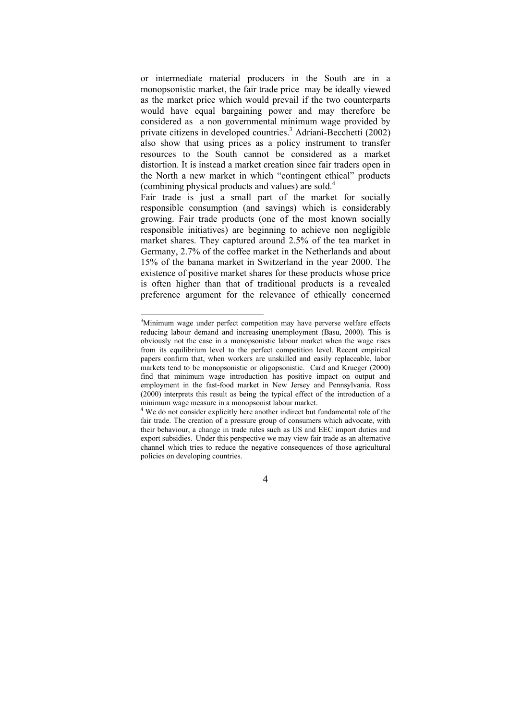or intermediate material producers in the South are in a monopsonistic market, the fair trade price may be ideally viewed as the market price which would prevail if the two counterparts would have equal bargaining power and may therefore be considered as a non governmental minimum wage provided by private citizens in developed countries.<sup>3</sup> Adriani-Becchetti (2002) also show that using prices as a policy instrument to transfer resources to the South cannot be considered as a market distortion. It is instead a market creation since fair traders open in the North a new market in which "contingent ethical" products (combining physical products and values) are sold.4

Fair trade is just a small part of the market for socially responsible consumption (and savings) which is considerably growing. Fair trade products (one of the most known socially responsible initiatives) are beginning to achieve non negligible market shares. They captured around 2.5% of the tea market in Germany, 2.7% of the coffee market in the Netherlands and about 15% of the banana market in Switzerland in the year 2000. The existence of positive market shares for these products whose price is often higher than that of traditional products is a revealed preference argument for the relevance of ethically concerned

 $\overline{a}$ 

<sup>&</sup>lt;sup>3</sup>Minimum wage under perfect competition may have perverse welfare effects reducing labour demand and increasing unemployment (Basu, 2000). This is obviously not the case in a monopsonistic labour market when the wage rises from its equilibrium level to the perfect competition level. Recent empirical papers confirm that, when workers are unskilled and easily replaceable, labor markets tend to be monopsonistic or oligopsonistic. Card and Krueger (2000) find that minimum wage introduction has positive impact on output and employment in the fast-food market in New Jersey and Pennsylvania. Ross (2000) interprets this result as being the typical effect of the introduction of a minimum wage measure in a monopsonist labour market.

<sup>&</sup>lt;sup>4</sup> We do not consider explicitly here another indirect but fundamental role of the fair trade. The creation of a pressure group of consumers which advocate, with their behaviour, a change in trade rules such as US and EEC import duties and export subsidies. Under this perspective we may view fair trade as an alternative channel which tries to reduce the negative consequences of those agricultural policies on developing countries.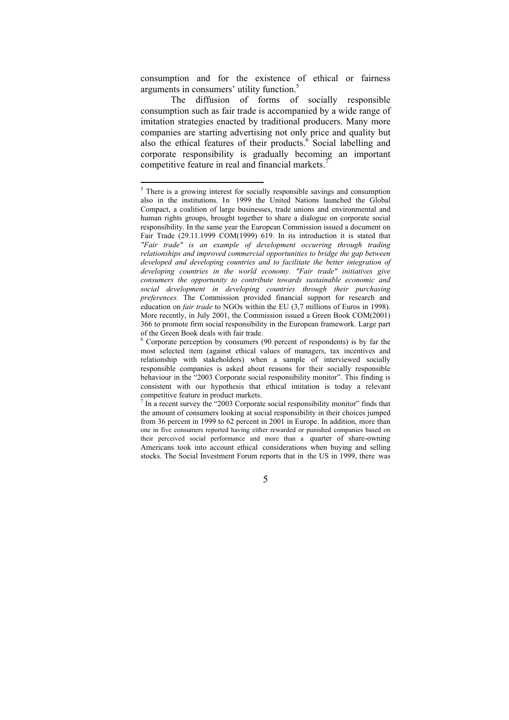consumption and for the existence of ethical or fairness arguments in consumers' utility function.<sup>5</sup>

The diffusion of forms of socially responsible consumption such as fair trade is accompanied by a wide range of imitation strategies enacted by traditional producers. Many more companies are starting advertising not only price and quality but also the ethical features of their products.<sup>6</sup> Social labelling and corporate responsibility is gradually becoming an important competitive feature in real and financial markets.<sup>7</sup>

<sup>&</sup>lt;sup>5</sup> There is a growing interest for socially responsible savings and consumption also in the institutions. In 1999 the United Nations launched the Global Compact, a coalition of large businesses, trade unions and environmental and human rights groups, brought together to share a dialogue on corporate social responsibility. In the same year the European Commission issued a document on Fair Trade (29.11.1999 COM(1999) 619. In its introduction it is stated that *"Fair trade" is an example of development occurring through trading relationships and improved commercial opportunities to bridge the gap between developed and developing countries and to facilitate the better integration of developing countries in the world economy. "Fair trade" initiatives give consumers the opportunity to contribute towards sustainable economic and social development in developing countries through their purchasing preferences.* The Commission provided financial support for research and education on *fair trade* to NGOs within the EU (3,7 millions of Euros in 1998). More recently, in July 2001, the Commission issued a Green Book COM(2001) 366 to promote firm social responsibility in the European framework. Large part of the Green Book deals with fair trade.

<sup>&</sup>lt;sup>6</sup> Corporate perception by consumers (90 percent of respondents) is by far the most selected item (against ethical values of managers, tax incentives and relationship with stakeholders) when a sample of interviewed socially responsible companies is asked about reasons for their socially responsible behaviour in the "2003 Corporate social responsibility monitor". This finding is consistent with our hypothesis that ethical imitation is today a relevant competitive feature in product markets.

 $<sup>7</sup>$  In a recent survey the "2003 Corporate social responsibility monitor" finds that</sup> the amount of consumers looking at social responsibility in their choices jumped from 36 percent in 1999 to 62 percent in 2001 in Europe. In addition, more than one in five consumers reported having either rewarded or punished companies based on their perceived social performance and more than a quarter of share-owning Americans took into account ethical considerations when buying and selling stocks. The Social Investment Forum reports that in the US in 1999, there was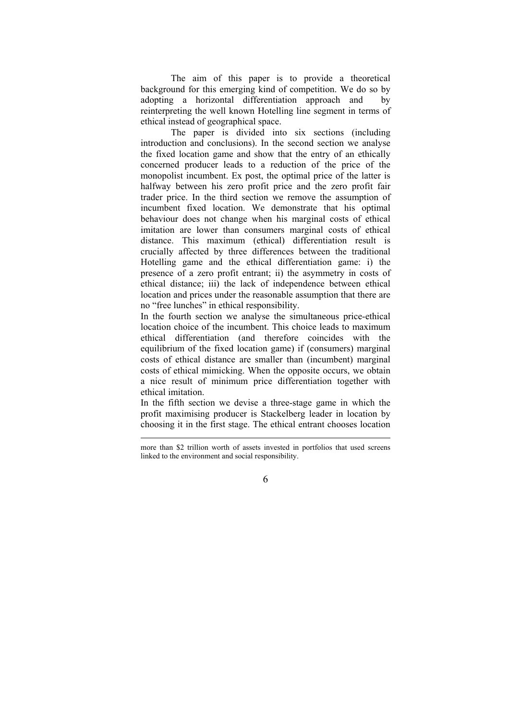The aim of this paper is to provide a theoretical background for this emerging kind of competition. We do so by adopting a horizontal differentiation approach and by reinterpreting the well known Hotelling line segment in terms of ethical instead of geographical space.

The paper is divided into six sections (including introduction and conclusions). In the second section we analyse the fixed location game and show that the entry of an ethically concerned producer leads to a reduction of the price of the monopolist incumbent. Ex post, the optimal price of the latter is halfway between his zero profit price and the zero profit fair trader price. In the third section we remove the assumption of incumbent fixed location. We demonstrate that his optimal behaviour does not change when his marginal costs of ethical imitation are lower than consumers marginal costs of ethical distance. This maximum (ethical) differentiation result is crucially affected by three differences between the traditional Hotelling game and the ethical differentiation game: i) the presence of a zero profit entrant; ii) the asymmetry in costs of ethical distance; iii) the lack of independence between ethical location and prices under the reasonable assumption that there are no "free lunches" in ethical responsibility.

In the fourth section we analyse the simultaneous price-ethical location choice of the incumbent. This choice leads to maximum ethical differentiation (and therefore coincides with the equilibrium of the fixed location game) if (consumers) marginal costs of ethical distance are smaller than (incumbent) marginal costs of ethical mimicking. When the opposite occurs, we obtain a nice result of minimum price differentiation together with ethical imitation.

In the fifth section we devise a three-stage game in which the profit maximising producer is Stackelberg leader in location by choosing it in the first stage. The ethical entrant chooses location

 $\overline{a}$ 

more than \$2 trillion worth of assets invested in portfolios that used screens linked to the environment and social responsibility.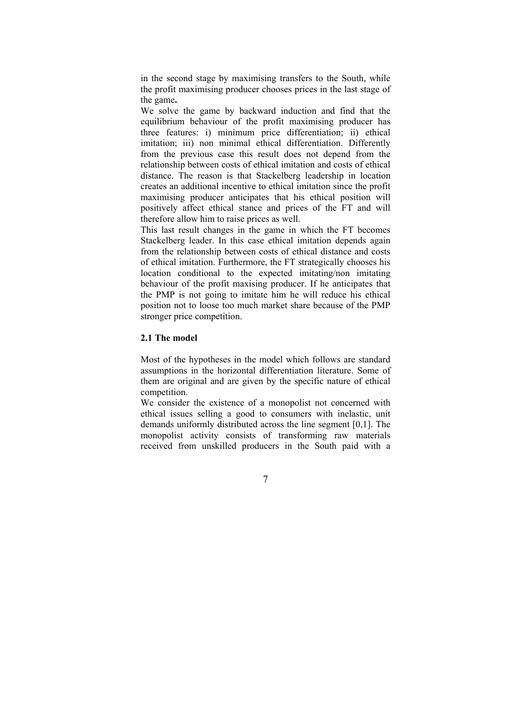in the second stage by maximising transfers to the South, while the profit maximising producer chooses prices in the last stage of the game**.** 

We solve the game by backward induction and find that the equilibrium behaviour of the profit maximising producer has three features: i) minimum price differentiation; ii) ethical imitation; iii) non minimal ethical differentiation. Differently from the previous case this result does not depend from the relationship between costs of ethical imitation and costs of ethical distance. The reason is that Stackelberg leadership in location creates an additional incentive to ethical imitation since the profit maximising producer anticipates that his ethical position will positively affect ethical stance and prices of the FT and will therefore allow him to raise prices as well.

This last result changes in the game in which the FT becomes Stackelberg leader. In this case ethical imitation depends again from the relationship between costs of ethical distance and costs of ethical imitation. Furthermore, the FT strategically chooses his location conditional to the expected imitating/non imitating behaviour of the profit maxising producer. If he anticipates that the PMP is not going to imitate him he will reduce his ethical position not to loose too much market share because of the PMP stronger price competition.

## **2.1 The model**

Most of the hypotheses in the model which follows are standard assumptions in the horizontal differentiation literature. Some of them are original and are given by the specific nature of ethical competition.

We consider the existence of a monopolist not concerned with ethical issues selling a good to consumers with inelastic, unit demands uniformly distributed across the line segment [0,1]. The monopolist activity consists of transforming raw materials received from unskilled producers in the South paid with a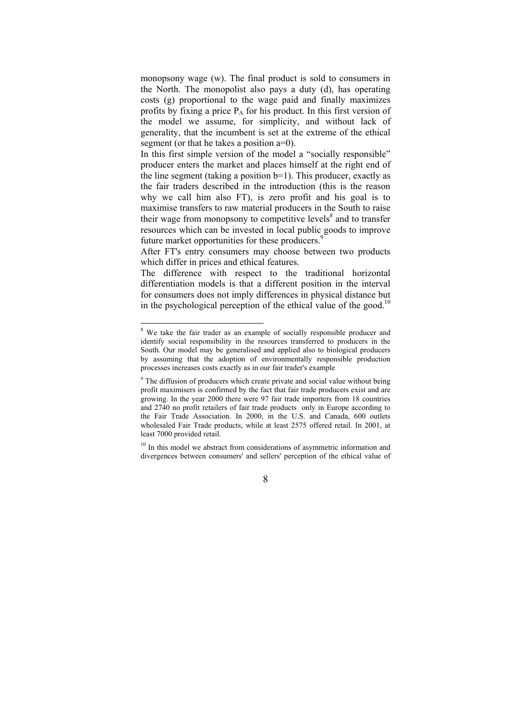monopsony wage (w). The final product is sold to consumers in the North. The monopolist also pays a duty (d), has operating costs (g) proportional to the wage paid and finally maximizes profits by fixing a price  $P_A$  for his product. In this first version of the model we assume, for simplicity, and without lack of generality, that the incumbent is set at the extreme of the ethical segment (or that he takes a position  $a=0$ ).

In this first simple version of the model a "socially responsible" producer enters the market and places himself at the right end of the line segment (taking a position b=1). This producer, exactly as the fair traders described in the introduction (this is the reason why we call him also FT), is zero profit and his goal is to maximise transfers to raw material producers in the South to raise their wage from monopsony to competitive levels $\delta$  and to transfer resources which can be invested in local public goods to improve future market opportunities for these producers.<sup>9</sup>

After FT's entry consumers may choose between two products which differ in prices and ethical features.

The difference with respect to the traditional horizontal differentiation models is that a different position in the interval for consumers does not imply differences in physical distance but in the psychological perception of the ethical value of the good.<sup>10</sup>

<sup>10</sup> In this model we abstract from considerations of asymmetric information and divergences between consumers' and sellers' perception of the ethical value of

<sup>&</sup>lt;sup>8</sup> We take the fair trader as an example of socially responsible producer and identify social responsibility in the resources transferred to producers in the South. Our model may be generalised and applied also to biological producers by assuming that the adoption of environmentally responsible production processes increases costs exactly as in our fair trader's example

 $9$  The diffusion of producers which create private and social value without being profit maximisers is confirmed by the fact that fair trade producers exist and are growing. In the year 2000 there were 97 fair trade importers from 18 countries and 2740 no profit retailers of fair trade products only in Europe according to the Fair Trade Association. In 2000, in the U.S. and Canada, 600 outlets wholesaled Fair Trade products, while at least 2575 offered retail. In 2001, at least 7000 provided retail.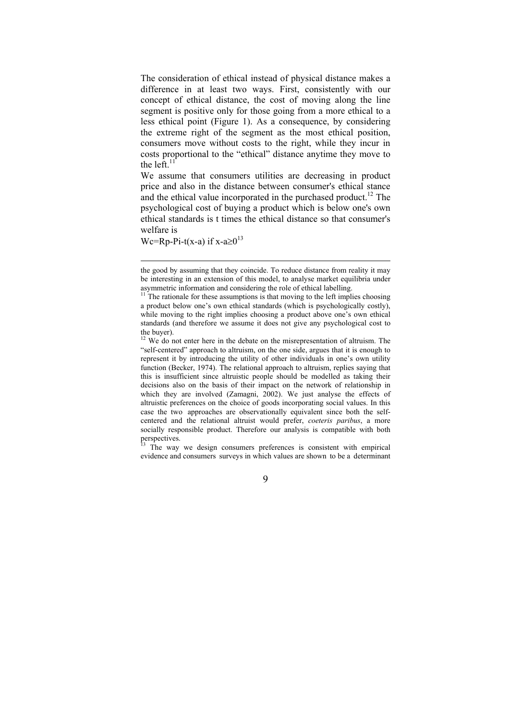The consideration of ethical instead of physical distance makes a difference in at least two ways. First, consistently with our concept of ethical distance, the cost of moving along the line segment is positive only for those going from a more ethical to a less ethical point (Figure 1). As a consequence, by considering the extreme right of the segment as the most ethical position, consumers move without costs to the right, while they incur in costs proportional to the "ethical" distance anytime they move to the left. $1$ 

We assume that consumers utilities are decreasing in product price and also in the distance between consumer's ethical stance and the ethical value incorporated in the purchased product.<sup>12</sup> The psychological cost of buying a product which is below one's own ethical standards is t times the ethical distance so that consumer's welfare is

Wc=Rp-Pi-t(x-a) if x-a $\geq 0^{13}$ 

 $\overline{a}$ 

<sup>13</sup> The way we design consumers preferences is consistent with empirical evidence and consumers surveys in which values are shown to be a determinant

the good by assuming that they coincide. To reduce distance from reality it may be interesting in an extension of this model, to analyse market equilibria under asymmetric information and considering the role of ethical labelling.

 $11$ <sup>The</sup> rationale for these assumptions is that moving to the left implies choosing a product below one's own ethical standards (which is psychologically costly), while moving to the right implies choosing a product above one's own ethical standards (and therefore we assume it does not give any psychological cost to the buyer).

 $12$  We do not enter here in the debate on the misrepresentation of altruism. The "self-centered" approach to altruism, on the one side, argues that it is enough to represent it by introducing the utility of other individuals in one's own utility function (Becker, 1974). The relational approach to altruism, replies saying that this is insufficient since altruistic people should be modelled as taking their decisions also on the basis of their impact on the network of relationship in which they are involved (Zamagni, 2002). We just analyse the effects of altruistic preferences on the choice of goods incorporating social values. In this case the two approaches are observationally equivalent since both the selfcentered and the relational altruist would prefer, *coeteris paribus*, a more socially responsible product. Therefore our analysis is compatible with both perspectives.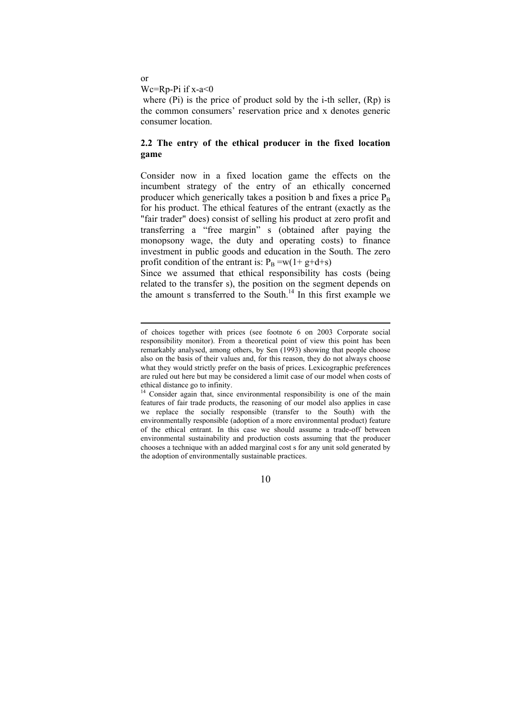or

 $\overline{a}$ 

Wc=Rp-Pi if x-a<0

where (Pi) is the price of product sold by the i-th seller, (Rp) is the common consumers' reservation price and x denotes generic consumer location.

## **2.2 The entry of the ethical producer in the fixed location game**

Consider now in a fixed location game the effects on the incumbent strategy of the entry of an ethically concerned producer which generically takes a position b and fixes a price  $P_B$ for his product. The ethical features of the entrant (exactly as the "fair trader" does) consist of selling his product at zero profit and transferring a "free margin" s (obtained after paying the monopsony wage, the duty and operating costs) to finance investment in public goods and education in the South. The zero profit condition of the entrant is:  $P_B = w(1 + g + d + s)$ 

Since we assumed that ethical responsibility has costs (being related to the transfer s), the position on the segment depends on the amount s transferred to the South.<sup>14</sup> In this first example we

of choices together with prices (see footnote 6 on 2003 Corporate social responsibility monitor). From a theoretical point of view this point has been remarkably analysed, among others, by Sen (1993) showing that people choose also on the basis of their values and, for this reason, they do not always choose what they would strictly prefer on the basis of prices. Lexicographic preferences are ruled out here but may be considered a limit case of our model when costs of ethical distance go to infinity.

<sup>&</sup>lt;sup>4</sup> Consider again that, since environmental responsibility is one of the main features of fair trade products, the reasoning of our model also applies in case we replace the socially responsible (transfer to the South) with the environmentally responsible (adoption of a more environmental product) feature of the ethical entrant. In this case we should assume a trade-off between environmental sustainability and production costs assuming that the producer chooses a technique with an added marginal cost s for any unit sold generated by the adoption of environmentally sustainable practices.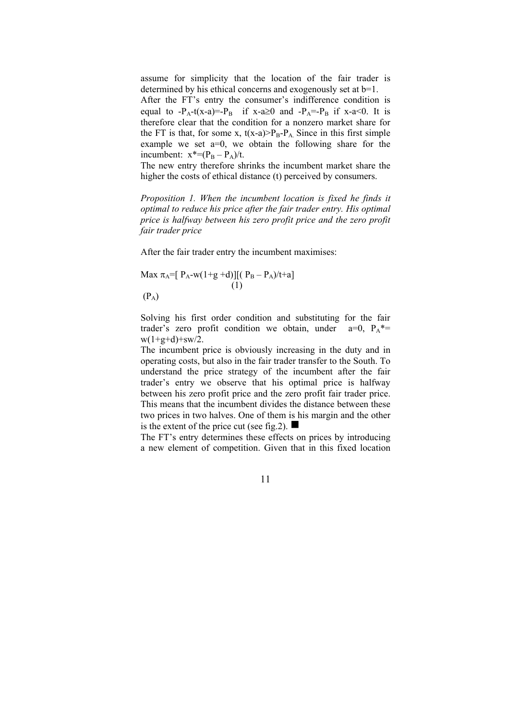assume for simplicity that the location of the fair trader is determined by his ethical concerns and exogenously set at  $b=1$ .

After the FT's entry the consumer's indifference condition is equal to  $-P_A-t(x-a)=P_B$  if  $x-a\ge 0$  and  $-P_A=-P_B$  if  $x-a<0$ . It is therefore clear that the condition for a nonzero market share for the FT is that, for some x,  $t(x-a) > P_B-P_A$ . Since in this first simple example we set a=0, we obtain the following share for the incumbent:  $x^*=(P_B - P_A)/t$ .

The new entry therefore shrinks the incumbent market share the higher the costs of ethical distance (t) perceived by consumers.

*Proposition 1. When the incumbent location is fixed he finds it optimal to reduce his price after the fair trader entry. His optimal price is halfway between his zero profit price and the zero profit fair trader price* 

After the fair trader entry the incumbent maximises:

Max πA=[ PA-w(1+g +d)][( PB – PA)/t+a] (1) (PA)

Solving his first order condition and substituting for the fair trader's zero profit condition we obtain, under  $a=0$ ,  $P_A^*$  $w(1+g+d)+sw/2$ .

The incumbent price is obviously increasing in the duty and in operating costs, but also in the fair trader transfer to the South. To understand the price strategy of the incumbent after the fair trader's entry we observe that his optimal price is halfway between his zero profit price and the zero profit fair trader price. This means that the incumbent divides the distance between these two prices in two halves. One of them is his margin and the other is the extent of the price cut (see fig. 2).  $\blacksquare$ 

The FT's entry determines these effects on prices by introducing a new element of competition. Given that in this fixed location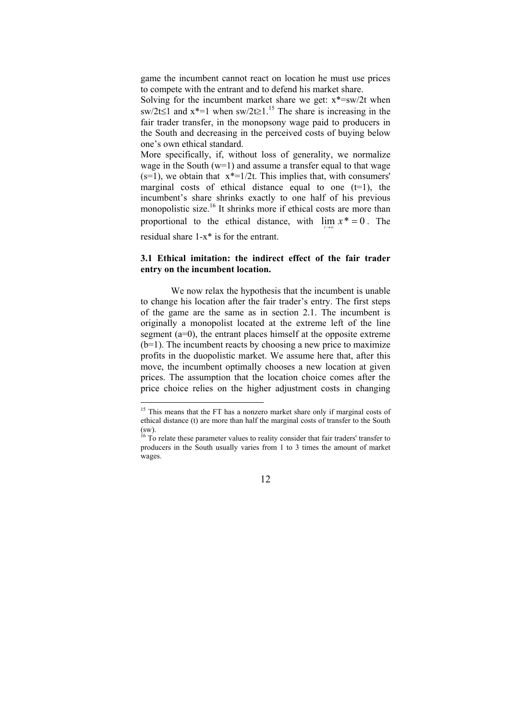game the incumbent cannot react on location he must use prices to compete with the entrant and to defend his market share.

Solving for the incumbent market share we get:  $x^* = sw/2t$  when sw/2t≤1 and  $x^*=1$  when sw/2t≥1.<sup>15</sup> The share is increasing in the fair trader transfer, in the monopsony wage paid to producers in the South and decreasing in the perceived costs of buying below one's own ethical standard.

More specifically, if, without loss of generality, we normalize wage in the South  $(w=1)$  and assume a transfer equal to that wage  $(s=1)$ , we obtain that  $x^*=1/2t$ . This implies that, with consumers' marginal costs of ethical distance equal to one  $(t=1)$ , the incumbent's share shrinks exactly to one half of his previous monopolistic size.<sup>16</sup> It shrinks more if ethical costs are more than proportional to the ethical distance, with  $\lim x^* = 0$ . The

residual share 1-x\* is for the entrant.

 $\overline{a}$ 

## **3.1 Ethical imitation: the indirect effect of the fair trader entry on the incumbent location.**

We now relax the hypothesis that the incumbent is unable to change his location after the fair trader's entry. The first steps of the game are the same as in section 2.1. The incumbent is originally a monopolist located at the extreme left of the line segment (a=0), the entrant places himself at the opposite extreme (b=1). The incumbent reacts by choosing a new price to maximize profits in the duopolistic market. We assume here that, after this move, the incumbent optimally chooses a new location at given prices. The assumption that the location choice comes after the price choice relies on the higher adjustment costs in changing

<sup>&</sup>lt;sup>15</sup> This means that the FT has a nonzero market share only if marginal costs of ethical distance (t) are more than half the marginal costs of transfer to the South (sw).

 $16$  To relate these parameter values to reality consider that fair traders' transfer to producers in the South usually varies from 1 to 3 times the amount of market wages.

<sup>12</sup>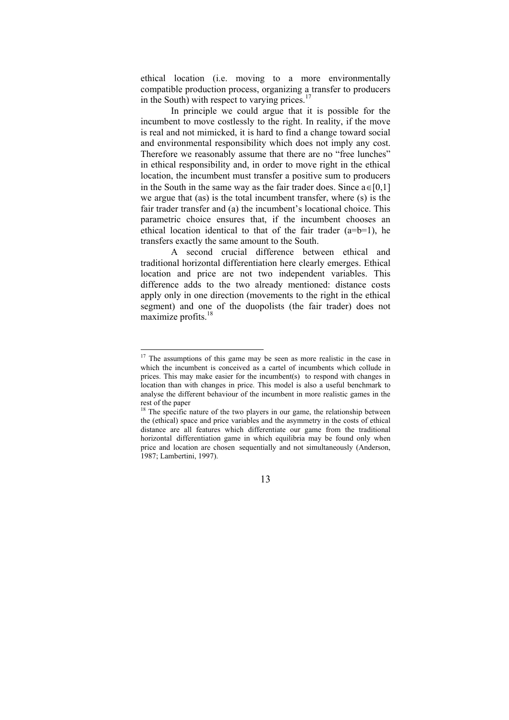ethical location (i.e. moving to a more environmentally compatible production process, organizing a transfer to producers in the South) with respect to varying prices. $17$ 

In principle we could argue that it is possible for the incumbent to move costlessly to the right. In reality, if the move is real and not mimicked, it is hard to find a change toward social and environmental responsibility which does not imply any cost. Therefore we reasonably assume that there are no "free lunches" in ethical responsibility and, in order to move right in the ethical location, the incumbent must transfer a positive sum to producers in the South in the same way as the fair trader does. Since  $a \in [0,1]$ we argue that (as) is the total incumbent transfer, where (s) is the fair trader transfer and (a) the incumbent's locational choice. This parametric choice ensures that, if the incumbent chooses an ethical location identical to that of the fair trader  $(a=b=1)$ , he transfers exactly the same amount to the South.

A second crucial difference between ethical and traditional horizontal differentiation here clearly emerges. Ethical location and price are not two independent variables. This difference adds to the two already mentioned: distance costs apply only in one direction (movements to the right in the ethical segment) and one of the duopolists (the fair trader) does not maximize profits.<sup>18</sup>

 $\overline{a}$ 

 $17$  The assumptions of this game may be seen as more realistic in the case in which the incumbent is conceived as a cartel of incumbents which collude in prices. This may make easier for the incumbent(s) to respond with changes in location than with changes in price. This model is also a useful benchmark to analyse the different behaviour of the incumbent in more realistic games in the rest of the paper

 $18$ <sup>18</sup> The specific nature of the two players in our game, the relationship between the (ethical) space and price variables and the asymmetry in the costs of ethical distance are all features which differentiate our game from the traditional horizontal differentiation game in which equilibria may be found only when price and location are chosen sequentially and not simultaneously (Anderson, 1987; Lambertini, 1997).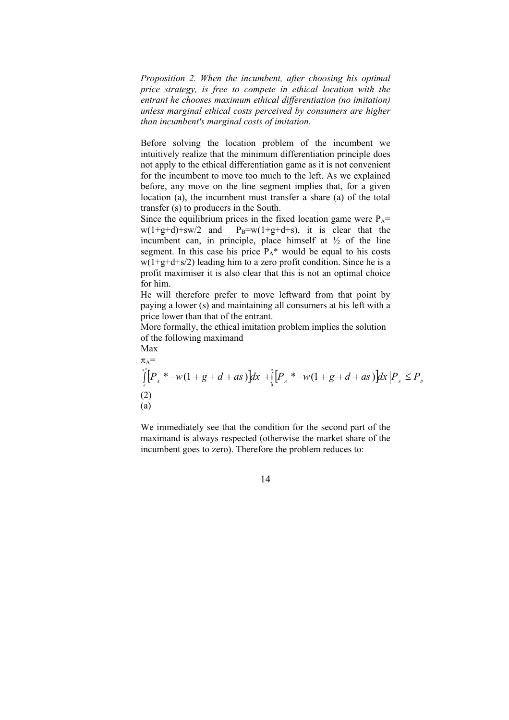*Proposition 2. When the incumbent, after choosing his optimal price strategy, is free to compete in ethical location with the entrant he chooses maximum ethical differentiation (no imitation) unless marginal ethical costs perceived by consumers are higher than incumbent's marginal costs of imitation.* 

Before solving the location problem of the incumbent we intuitively realize that the minimum differentiation principle does not apply to the ethical differentiation game as it is not convenient for the incumbent to move too much to the left. As we explained before, any move on the line segment implies that, for a given location (a), the incumbent must transfer a share (a) of the total transfer (s) to producers in the South.

Since the equilibrium prices in the fixed location game were  $P_A=$  $w(1+g+d)+sw/2$  and  $P_B=w(1+g+d+s)$ , it is clear that the incumbent can, in principle, place himself at  $\frac{1}{2}$  of the line segment. In this case his price  $P_A^*$  would be equal to his costs  $w(1+g+d+s/2)$  leading him to a zero profit condition. Since he is a profit maximiser it is also clear that this is not an optimal choice for him.

He will therefore prefer to move leftward from that point by paying a lower (s) and maintaining all consumers at his left with a price lower than that of the entrant.

More formally, the ethical imitation problem implies the solution of the following maximand Max

$$
\pi_{A} = \int_{a}^{x_{A}^{+}} [P_{A} * -w(1+g+d+as)]dx + \int_{0}^{a} [P_{A} * -w(1+g+d+as)]dx |P_{A} \le P_{B}
$$
\n(2)\n(a)

We immediately see that the condition for the second part of the maximand is always respected (otherwise the market share of the incumbent goes to zero). Therefore the problem reduces to: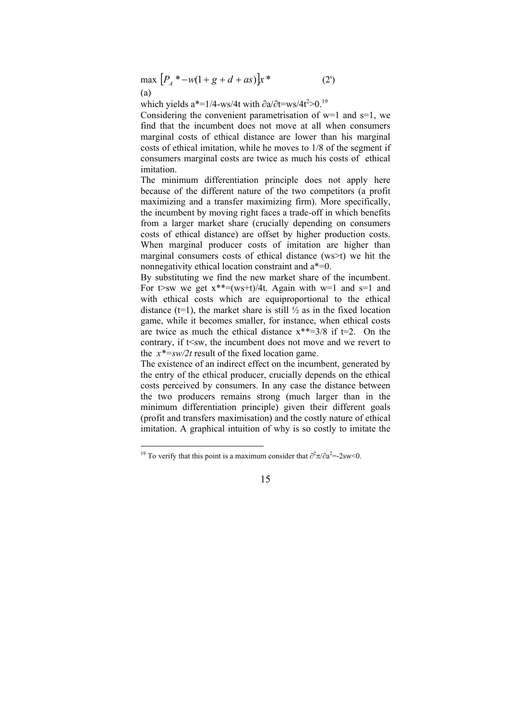$\max \left[ P_A^* - w(1 + g + d + as) \right] x^*$  (2') (a)

which yields a<sup>\*</sup>=1/4-ws/4t with  $\partial$ a/∂t=ws/4t<sup>2</sup>>0.<sup>19</sup>

Considering the convenient parametrisation of  $w=1$  and  $s=1$ , we find that the incumbent does not move at all when consumers marginal costs of ethical distance are lower than his marginal costs of ethical imitation, while he moves to 1/8 of the segment if consumers marginal costs are twice as much his costs of ethical imitation.

The minimum differentiation principle does not apply here because of the different nature of the two competitors (a profit maximizing and a transfer maximizing firm). More specifically, the incumbent by moving right faces a trade-off in which benefits from a larger market share (crucially depending on consumers costs of ethical distance) are offset by higher production costs. When marginal producer costs of imitation are higher than marginal consumers costs of ethical distance (ws>t) we hit the nonnegativity ethical location constraint and a\*=0.

By substituting we find the new market share of the incumbent. For t>sw we get  $x^{**}=(ws+t)/4t$ . Again with w=1 and s=1 and with ethical costs which are equiproportional to the ethical distance ( $t=1$ ), the market share is still  $\frac{1}{2}$  as in the fixed location game, while it becomes smaller, for instance, when ethical costs are twice as much the ethical distance  $x^{**}=3/8$  if  $t=2$ . On the contrary, if  $t \leq sw$ , the incumbent does not move and we revert to the  $x^*$ =sw/2t result of the fixed location game.

The existence of an indirect effect on the incumbent, generated by the entry of the ethical producer, crucially depends on the ethical costs perceived by consumers. In any case the distance between the two producers remains strong (much larger than in the minimum differentiation principle) given their different goals (profit and transfers maximisation) and the costly nature of ethical imitation. A graphical intuition of why is so costly to imitate the

<sup>&</sup>lt;sup>19</sup> To verify that this point is a maximum consider that  $\partial^2 \pi / \partial a^2 = -2sw < 0$ .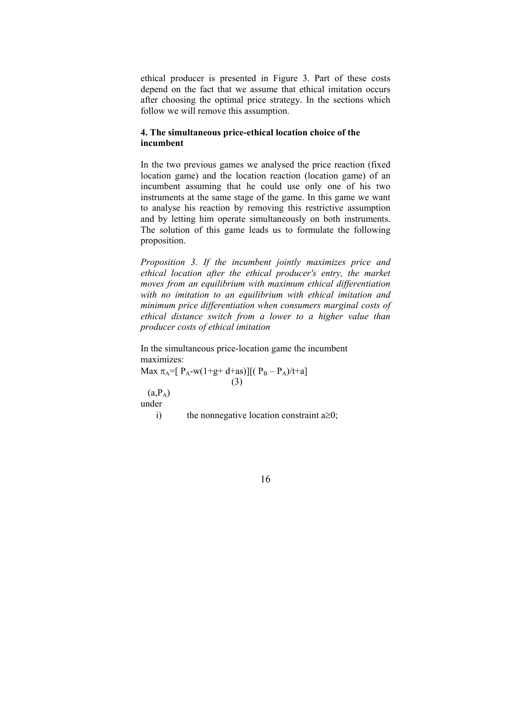ethical producer is presented in Figure 3. Part of these costs depend on the fact that we assume that ethical imitation occurs after choosing the optimal price strategy. In the sections which follow we will remove this assumption.

## **4. The simultaneous price-ethical location choice of the incumbent**

In the two previous games we analysed the price reaction (fixed location game) and the location reaction (location game) of an incumbent assuming that he could use only one of his two instruments at the same stage of the game. In this game we want to analyse his reaction by removing this restrictive assumption and by letting him operate simultaneously on both instruments. The solution of this game leads us to formulate the following proposition.

*Proposition 3. If the incumbent jointly maximizes price and ethical location after the ethical producer's entry, the market moves from an equilibrium with maximum ethical differentiation with no imitation to an equilibrium with ethical imitation and minimum price differentiation when consumers marginal costs of ethical distance switch from a lower to a higher value than producer costs of ethical imitation* 

In the simultaneous price-location game the incumbent maximizes:

Max  $\pi_A = [P_A-w(1+g+d+as)][(P_B - P_A)/t+a]$ (3)

 $(a_1P_A)$ under

i) the nonnegative location constraint  $a \ge 0$ ;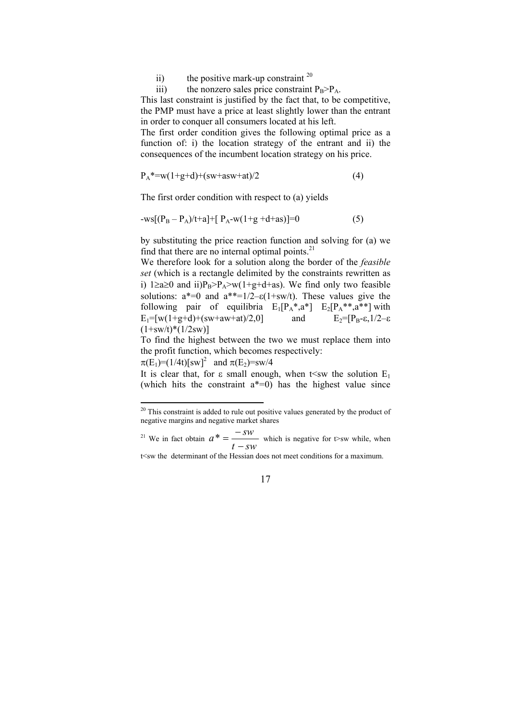ii) the positive mark-up constraint  $2^0$ 

iii) the nonzero sales price constraint  $P_B > P_A$ .

This last constraint is justified by the fact that, to be competitive, the PMP must have a price at least slightly lower than the entrant in order to conquer all consumers located at his left.

The first order condition gives the following optimal price as a function of: i) the location strategy of the entrant and ii) the consequences of the incumbent location strategy on his price.

$$
P_A^* = w(1+g+d) + (sw + asw + at)/2
$$
 (4)

The first order condition with respect to (a) yields

$$
-ws[(P_B - P_A)/t + a] + [P_A - w(1 + g + d + as)] = 0
$$
\n(5)

by substituting the price reaction function and solving for (a) we find that there are no internal optimal points. $^{21}$ 

We therefore look for a solution along the border of the *feasible set* (which is a rectangle delimited by the constraints rewritten as i) 1≥a≥0 and ii) $P_B > P_A > w(1+g+d+as)$ . We find only two feasible solutions:  $a^*=0$  and  $a^{**}=1/2-\epsilon(1+sw/t)$ . These values give the following pair of equilibria  $E_1[P_A^*; a^*]$   $E_2[P_A^{**}; a^{**}]$  with  $E_1=[w(1+g+d)+(sw+aw+at)/2,0]$  and  $E_2=[P_B-\varepsilon,1/2-\varepsilon]$  $(1+sw/t)*(1/2sw)$ ]

To find the highest between the two we must replace them into the profit function, which becomes respectively:

 $\pi(E_1)=(1/4t)[sw]^2$  and  $\pi(E_2)=sw/4$ 

 $\overline{a}$ 

It is clear that, for  $\varepsilon$  small enough, when t sw the solution  $E_1$ (which hits the constraint  $a^*=0$ ) has the highest value since

 $20$  This constraint is added to rule out positive values generated by the product of negative margins and negative market shares

 $21$  We in fact obtain  $t - sw$  $a^* = \frac{-sw}{t - sw}$  which is negative for t>sw while, when

t<sw the determinant of the Hessian does not meet conditions for a maximum.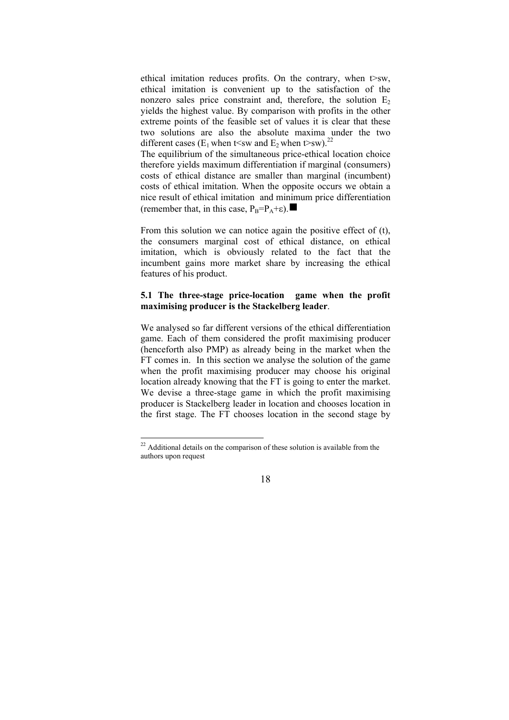ethical imitation reduces profits. On the contrary, when t>sw, ethical imitation is convenient up to the satisfaction of the nonzero sales price constraint and, therefore, the solution  $E_2$ yields the highest value. By comparison with profits in the other extreme points of the feasible set of values it is clear that these two solutions are also the absolute maxima under the two different cases (E<sub>1</sub> when t<sw and E<sub>2</sub> when t>sw).<sup>22</sup>

The equilibrium of the simultaneous price-ethical location choice therefore yields maximum differentiation if marginal (consumers) costs of ethical distance are smaller than marginal (incumbent) costs of ethical imitation. When the opposite occurs we obtain a nice result of ethical imitation and minimum price differentiation (remember that, in this case,  $P_B=P_A+\epsilon$ ).

From this solution we can notice again the positive effect of (t), the consumers marginal cost of ethical distance, on ethical imitation, which is obviously related to the fact that the incumbent gains more market share by increasing the ethical features of his product.

## **5.1 The three-stage price-location game when the profit maximising producer is the Stackelberg leader**.

We analysed so far different versions of the ethical differentiation game. Each of them considered the profit maximising producer (henceforth also PMP) as already being in the market when the FT comes in. In this section we analyse the solution of the game when the profit maximising producer may choose his original location already knowing that the FT is going to enter the market. We devise a three-stage game in which the profit maximising producer is Stackelberg leader in location and chooses location in the first stage. The FT chooses location in the second stage by

 $\overline{a}$ 

 $22$  Additional details on the comparison of these solution is available from the authors upon request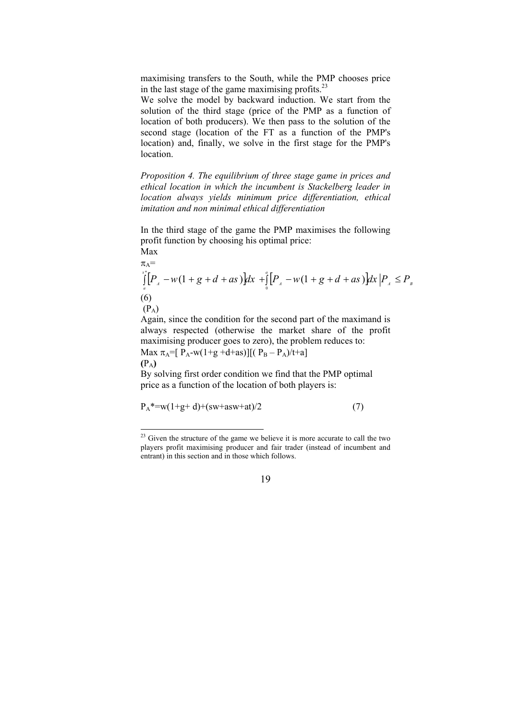maximising transfers to the South, while the PMP chooses price in the last stage of the game maximising profits. $^{23}$ 

We solve the model by backward induction. We start from the solution of the third stage (price of the PMP as a function of location of both producers). We then pass to the solution of the second stage (location of the FT as a function of the PMP's location) and, finally, we solve in the first stage for the PMP's location.

*Proposition 4. The equilibrium of three stage game in prices and ethical location in which the incumbent is Stackelberg leader in location always yields minimum price differentiation, ethical imitation and non minimal ethical differentiation* 

In the third stage of the game the PMP maximises the following profit function by choosing his optimal price:

Max

 $\overline{a}$ 

$$
\pi_{A} = \int_{a}^{x_{A}^{+}} [P_{A} - w(1 + g + d + as)]dx + \int_{0}^{a} [P_{A} - w(1 + g + d + as)]dx |P_{A} \le P_{B}
$$
\n(6)

Again, since the condition for the second part of the maximand is always respected (otherwise the market share of the profit maximising producer goes to zero), the problem reduces to: Max  $\pi_A = [P_A - w(1+g+d+as)][(P_B - P_A)/t+a]$ **(**PA**)** 

By solving first order condition we find that the PMP optimal price as a function of the location of both players is:

$$
P_A^* = w(1+g+d) + (sw + asw + at)/2
$$
 (7)

 $2<sup>23</sup>$  Given the structure of the game we believe it is more accurate to call the two players profit maximising producer and fair trader (instead of incumbent and entrant) in this section and in those which follows.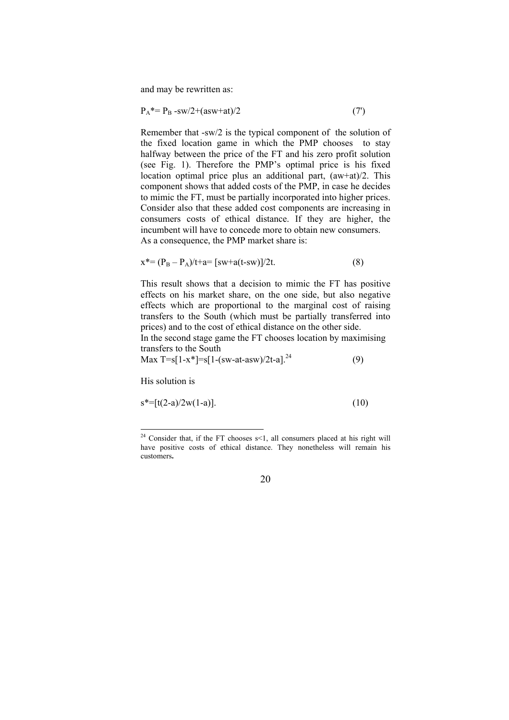and may be rewritten as:

$$
P_A^* = P_B - sw/2 + (asw + at)/2 \tag{7}
$$

Remember that -sw/2 is the typical component of the solution of the fixed location game in which the PMP chooses to stay halfway between the price of the FT and his zero profit solution (see Fig. 1). Therefore the PMP's optimal price is his fixed location optimal price plus an additional part, (aw+at)/2. This component shows that added costs of the PMP, in case he decides to mimic the FT, must be partially incorporated into higher prices. Consider also that these added cost components are increasing in consumers costs of ethical distance. If they are higher, the incumbent will have to concede more to obtain new consumers. As a consequence, the PMP market share is:

$$
x^* = (P_B - P_A)/t + a = [sw + a(t - sw)]/2t.
$$
 (8)

This result shows that a decision to mimic the FT has positive effects on his market share, on the one side, but also negative effects which are proportional to the marginal cost of raising transfers to the South (which must be partially transferred into prices) and to the cost of ethical distance on the other side.

In the second stage game the FT chooses location by maximising transfers to the South

Max  $T=s[1-x^*]=s[1-(sw-at-asw)/2t-a]^{24}$  (9)

His solution is

 $\overline{a}$ 

$$
s^* = [t(2-a)/2w(1-a)].
$$
\n(10)

 $24$  Consider that, if the FT chooses s<1, all consumers placed at his right will have positive costs of ethical distance. They nonetheless will remain his customers**.**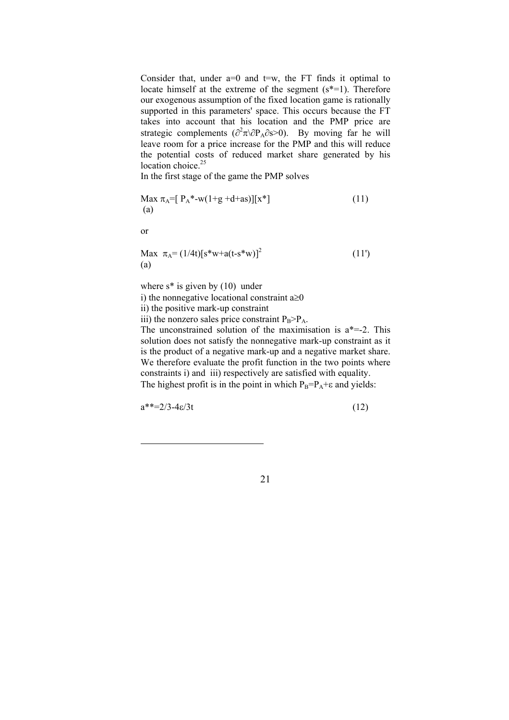Consider that, under  $a=0$  and  $t=w$ , the FT finds it optimal to locate himself at the extreme of the segment (s<sup>\*=1)</sup>. Therefore our exogenous assumption of the fixed location game is rationally supported in this parameters' space. This occurs because the FT takes into account that his location and the PMP price are strategic complements ( $\partial^2 \pi \partial P_A \partial s > 0$ ). By moving far he will leave room for a price increase for the PMP and this will reduce the potential costs of reduced market share generated by his location choice. $25$ 

In the first stage of the game the PMP solves

Max πA=[ PA\*-w(1+g +d+as)][x\*] (11) (a)

or

Max πA= (1/4t)[s\*w+a(t-s\*w)]2 (11') (a)

where  $s^*$  is given by  $(10)$  under

i) the nonnegative locational constraint  $a \ge 0$ 

ii) the positive mark-up constraint

iii) the nonzero sales price constraint  $P_B > P_A$ .

The unconstrained solution of the maximisation is  $a^* = -2$ . This solution does not satisfy the nonnegative mark-up constraint as it is the product of a negative mark-up and a negative market share. We therefore evaluate the profit function in the two points where constraints i) and iii) respectively are satisfied with equality. The highest profit is in the point in which  $P_B = P_A + \varepsilon$  and yields:

 $a^{**}=2/3-4\varepsilon/3t$  (12)

 $\overline{a}$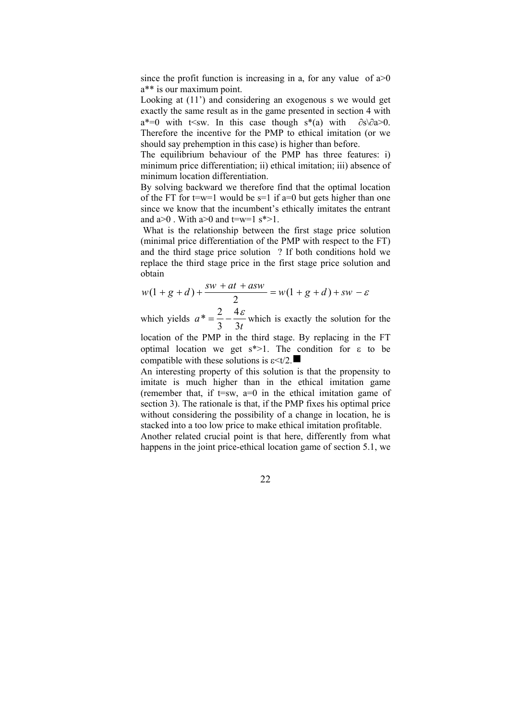since the profit function is increasing in a, for any value of  $a > 0$ a\*\* is our maximum point.

Looking at (11') and considering an exogenous s we would get exactly the same result as in the game presented in section 4 with a<sup>\*=0</sup> with t<sw. In this case though s<sup>\*</sup>(a) with  $\partial s \cdot \partial a > 0$ . Therefore the incentive for the PMP to ethical imitation (or we should say prehemption in this case) is higher than before.

The equilibrium behaviour of the PMP has three features: i) minimum price differentiation; ii) ethical imitation; iii) absence of minimum location differentiation.

By solving backward we therefore find that the optimal location of the FT for  $t=w=1$  would be  $s=1$  if  $a=0$  but gets higher than one since we know that the incumbent's ethically imitates the entrant and  $a>0$ . With  $a>0$  and  $t=w=1$  s<sup>\*</sup>>1.

 What is the relationship between the first stage price solution (minimal price differentiation of the PMP with respect to the FT) and the third stage price solution ? If both conditions hold we replace the third stage price in the first stage price solution and obtain

$$
w(1 + g + d) + \frac{sw + at + asw}{2} = w(1 + g + d) + sw - \varepsilon
$$

which yields *t a* 3 4 3  $\frac{2}{5} = \frac{2}{5} - \frac{4 \varepsilon}{5}$  which is exactly the solution for the

location of the PMP in the third stage. By replacing in the FT optimal location we get  $s^*$  -1. The condition for  $\epsilon$  to be compatible with these solutions is  $\epsilon \leq t/2$ .

An interesting property of this solution is that the propensity to imitate is much higher than in the ethical imitation game (remember that, if  $t=sw$ ,  $a=0$  in the ethical imitation game of section 3). The rationale is that, if the PMP fixes his optimal price without considering the possibility of a change in location, he is stacked into a too low price to make ethical imitation profitable.

Another related crucial point is that here, differently from what happens in the joint price-ethical location game of section 5.1, we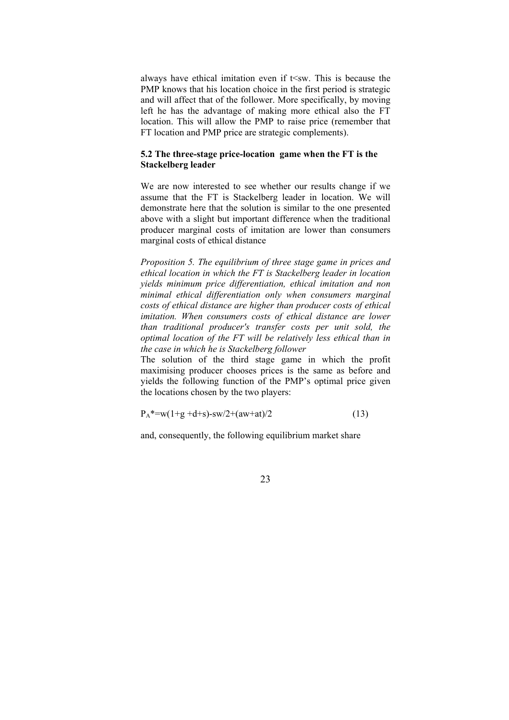always have ethical imitation even if  $t$  <sw. This is because the PMP knows that his location choice in the first period is strategic and will affect that of the follower. More specifically, by moving left he has the advantage of making more ethical also the FT location. This will allow the PMP to raise price (remember that FT location and PMP price are strategic complements).

## **5.2 The three-stage price-location game when the FT is the Stackelberg leader**

We are now interested to see whether our results change if we assume that the FT is Stackelberg leader in location. We will demonstrate here that the solution is similar to the one presented above with a slight but important difference when the traditional producer marginal costs of imitation are lower than consumers marginal costs of ethical distance

*Proposition 5. The equilibrium of three stage game in prices and ethical location in which the FT is Stackelberg leader in location yields minimum price differentiation, ethical imitation and non minimal ethical differentiation only when consumers marginal costs of ethical distance are higher than producer costs of ethical imitation. When consumers costs of ethical distance are lower than traditional producer's transfer costs per unit sold, the optimal location of the FT will be relatively less ethical than in the case in which he is Stackelberg follower* 

The solution of the third stage game in which the profit maximising producer chooses prices is the same as before and yields the following function of the PMP's optimal price given the locations chosen by the two players:

$$
P_A^* = w(1+g+d+s) - sw/2 + (aw+at)/2
$$
 (13)

and, consequently, the following equilibrium market share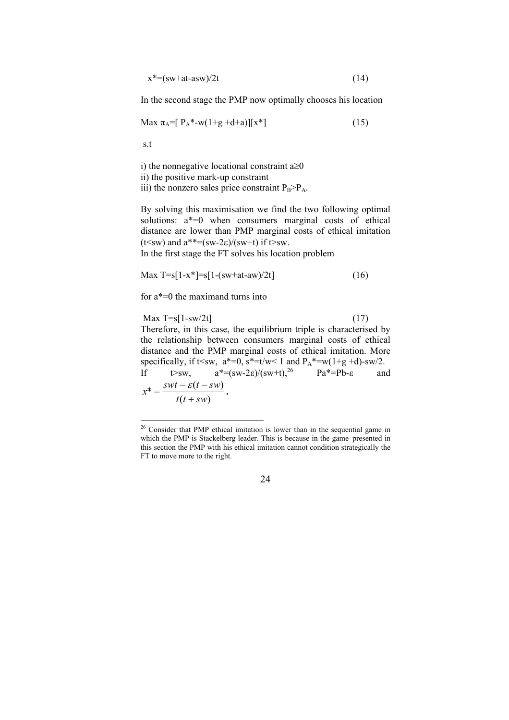$x^* = (sw + at - asw)/2t$  (14)

In the second stage the PMP now optimally chooses his location

$$
\text{Max } \pi_A = [P_A^* - w(1 + g + d + a)][x^*] \tag{15}
$$

s.t

 $\overline{a}$ 

i) the nonnegative locational constraint  $a \ge 0$ ii) the positive mark-up constraint iii) the nonzero sales price constraint  $P_B>P_A$ .

By solving this maximisation we find the two following optimal solutions: a\*=0 when consumers marginal costs of ethical distance are lower than PMP marginal costs of ethical imitation (t  $\leq$ sw) and  $a$ <sup>\*\*</sup>  $=(sw-2\varepsilon)/(sw+t)$  if t  $>$ sw.

In the first stage the FT solves his location problem

$$
\text{Max } T = s[1 - x^*] = s[1 - (sw + at - aw)/2t] \tag{16}
$$

for a\*=0 the maximand turns into

Max  $T = s[1 - sw/2t]$  (17)

Therefore, in this case, the equilibrium triple is characterised by the relationship between consumers marginal costs of ethical distance and the PMP marginal costs of ethical imitation. More specifically, if t<sw,  $a^*=0$ ,  $s^*=t/w<1$  and  $P_A^* = w(1+g+d)$ -sw/2.<br>If  $t>sw$ ,  $a^*=(sw-2\varepsilon)/(sw+t)$ ,  $2^6$   $Pa^*=Pb-\varepsilon$  and If  $t>sw$ ,  $a^*=(sw-2\varepsilon)/(sw+t)$ ,  $a^*=(sw-2\varepsilon)/(sw+t)$ ,  $a^*=-Pb-\varepsilon$  and

 $(t + sw)$  $* = \frac{swt - \varepsilon(t - sw)}{}$  $t(t + sw)$  $x^* = \frac{swt - \varepsilon(t - sw)}{s}$ +  $=\frac{swt-\varepsilon(t-sw)}{s}$ .

<sup>&</sup>lt;sup>26</sup> Consider that PMP ethical imitation is lower than in the sequential game in which the PMP is Stackelberg leader. This is because in the game presented in this section the PMP with his ethical imitation cannot condition strategically the FT to move more to the right.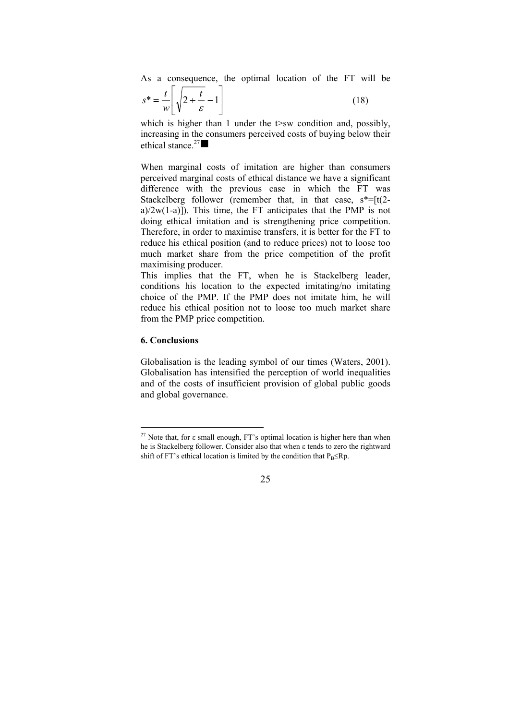As a consequence, the optimal location of the FT will be

$$
s^* = \frac{t}{w} \left[ \sqrt{2 + \frac{t}{\varepsilon}} - 1 \right]
$$
 (18)

which is higher than 1 under the  $t$  sw condition and, possibly, increasing in the consumers perceived costs of buying below their ethical stance.<sup>27</sup> $\blacksquare$ 

When marginal costs of imitation are higher than consumers perceived marginal costs of ethical distance we have a significant difference with the previous case in which the FT was Stackelberg follower (remember that, in that case,  $s^* = [t(2 - t)]$ a)/2w(1-a)]). This time, the FT anticipates that the PMP is not doing ethical imitation and is strengthening price competition. Therefore, in order to maximise transfers, it is better for the FT to reduce his ethical position (and to reduce prices) not to loose too much market share from the price competition of the profit maximising producer.

This implies that the FT, when he is Stackelberg leader, conditions his location to the expected imitating/no imitating choice of the PMP. If the PMP does not imitate him, he will reduce his ethical position not to loose too much market share from the PMP price competition.

## **6. Conclusions**

 $\overline{a}$ 

Globalisation is the leading symbol of our times (Waters, 2001). Globalisation has intensified the perception of world inequalities and of the costs of insufficient provision of global public goods and global governance.

<sup>&</sup>lt;sup>27</sup> Note that, for  $\varepsilon$  small enough, FT's optimal location is higher here than when he is Stackelberg follower. Consider also that when ε tends to zero the rightward shift of FT's ethical location is limited by the condition that  $P_B \le Rp$ .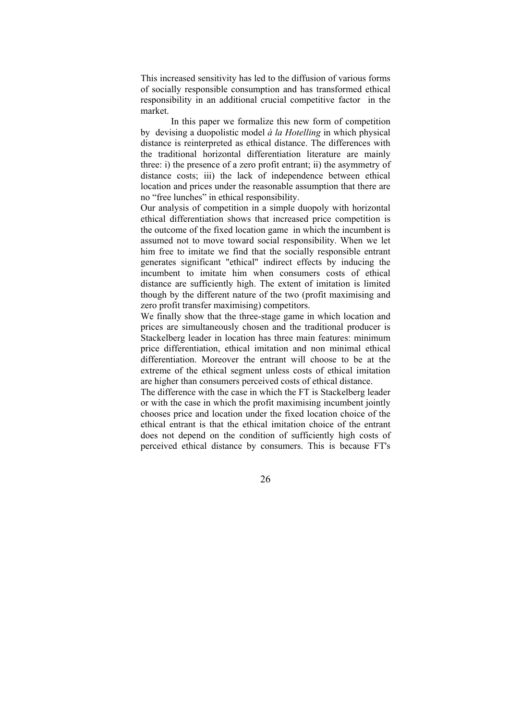This increased sensitivity has led to the diffusion of various forms of socially responsible consumption and has transformed ethical responsibility in an additional crucial competitive factor in the market.

In this paper we formalize this new form of competition by devising a duopolistic model *à la Hotelling* in which physical distance is reinterpreted as ethical distance. The differences with the traditional horizontal differentiation literature are mainly three: i) the presence of a zero profit entrant; ii) the asymmetry of distance costs; iii) the lack of independence between ethical location and prices under the reasonable assumption that there are no "free lunches" in ethical responsibility.

Our analysis of competition in a simple duopoly with horizontal ethical differentiation shows that increased price competition is the outcome of the fixed location game in which the incumbent is assumed not to move toward social responsibility. When we let him free to imitate we find that the socially responsible entrant generates significant "ethical" indirect effects by inducing the incumbent to imitate him when consumers costs of ethical distance are sufficiently high. The extent of imitation is limited though by the different nature of the two (profit maximising and zero profit transfer maximising) competitors.

We finally show that the three-stage game in which location and prices are simultaneously chosen and the traditional producer is Stackelberg leader in location has three main features: minimum price differentiation, ethical imitation and non minimal ethical differentiation. Moreover the entrant will choose to be at the extreme of the ethical segment unless costs of ethical imitation are higher than consumers perceived costs of ethical distance.

The difference with the case in which the FT is Stackelberg leader or with the case in which the profit maximising incumbent jointly chooses price and location under the fixed location choice of the ethical entrant is that the ethical imitation choice of the entrant does not depend on the condition of sufficiently high costs of perceived ethical distance by consumers. This is because FT's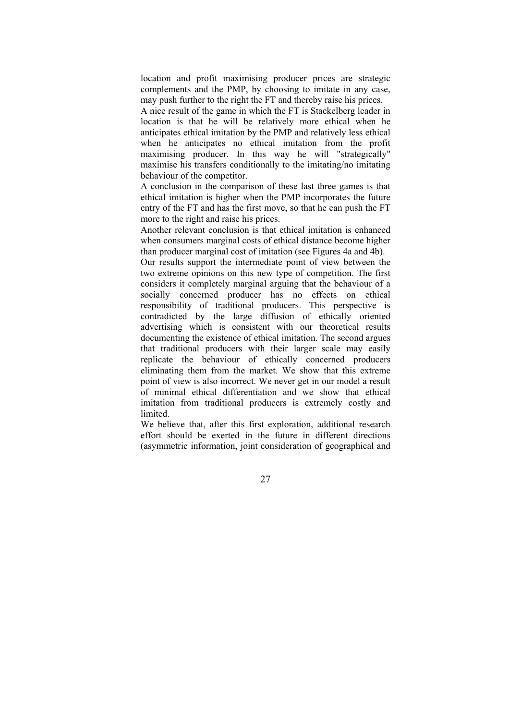location and profit maximising producer prices are strategic complements and the PMP, by choosing to imitate in any case, may push further to the right the FT and thereby raise his prices.

A nice result of the game in which the FT is Stackelberg leader in location is that he will be relatively more ethical when he anticipates ethical imitation by the PMP and relatively less ethical when he anticipates no ethical imitation from the profit maximising producer. In this way he will "strategically" maximise his transfers conditionally to the imitating/no imitating behaviour of the competitor.

A conclusion in the comparison of these last three games is that ethical imitation is higher when the PMP incorporates the future entry of the FT and has the first move, so that he can push the FT more to the right and raise his prices.

Another relevant conclusion is that ethical imitation is enhanced when consumers marginal costs of ethical distance become higher than producer marginal cost of imitation (see Figures 4a and 4b).

Our results support the intermediate point of view between the two extreme opinions on this new type of competition. The first considers it completely marginal arguing that the behaviour of a socially concerned producer has no effects on ethical responsibility of traditional producers. This perspective is contradicted by the large diffusion of ethically oriented advertising which is consistent with our theoretical results documenting the existence of ethical imitation. The second argues that traditional producers with their larger scale may easily replicate the behaviour of ethically concerned producers eliminating them from the market. We show that this extreme point of view is also incorrect. We never get in our model a result of minimal ethical differentiation and we show that ethical imitation from traditional producers is extremely costly and limited.

We believe that, after this first exploration, additional research effort should be exerted in the future in different directions (asymmetric information, joint consideration of geographical and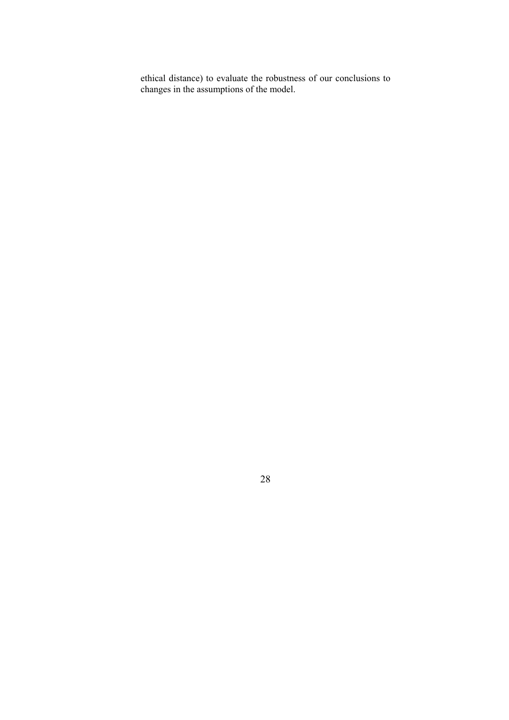ethical distance) to evaluate the robustness of our conclusions to changes in the assumptions of the model.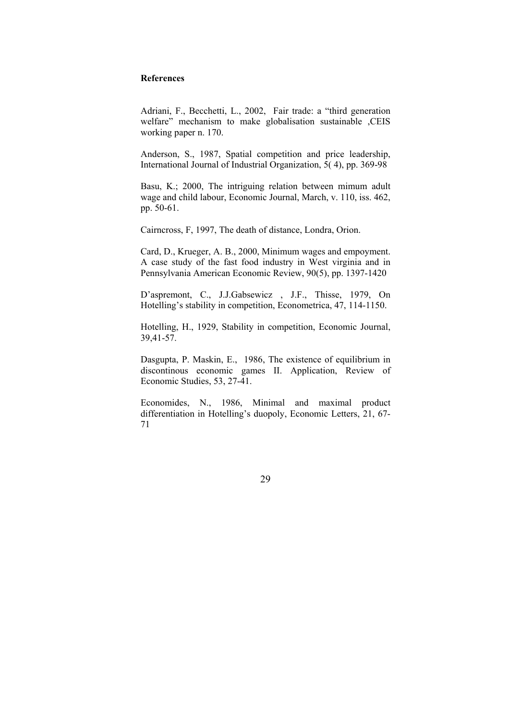### **References**

Adriani, F., Becchetti, L., 2002, Fair trade: a "third generation welfare" mechanism to make globalisation sustainable ,CEIS working paper n. 170.

Anderson, S., 1987, Spatial competition and price leadership, International Journal of Industrial Organization,  $\overline{5}$ (4), pp. 369-98

Basu, K.; 2000, The intriguing relation between mimum adult wage and child labour, Economic Journal, March, v. 110, iss. 462, pp. 50-61.

Cairncross, F, 1997, The death of distance, Londra, Orion.

Card, D., Krueger, A. B., 2000, Minimum wages and empoyment. A case study of the fast food industry in West virginia and in Pennsylvania American Economic Review, 90(5), pp. 1397-1420

D'aspremont, C., J.J.Gabsewicz , J.F., Thisse, 1979, On Hotelling's stability in competition, Econometrica, 47, 114-1150.

Hotelling, H., 1929, Stability in competition, Economic Journal, 39,41-57.

Dasgupta, P. Maskin, E., 1986, The existence of equilibrium in discontinous economic games II. Application, Review of Economic Studies, 53, 27-41.

Economides, N., 1986, Minimal and maximal product differentiation in Hotelling's duopoly, Economic Letters, 21, 67- 71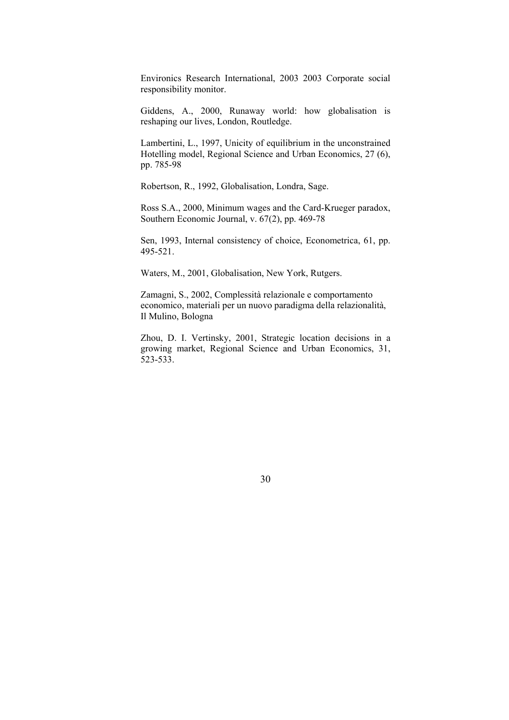Environics Research International, 2003 2003 Corporate social responsibility monitor.

Giddens, A., 2000, Runaway world: how globalisation is reshaping our lives, London, Routledge.

Lambertini, L., 1997, Unicity of equilibrium in the unconstrained Hotelling model, Regional Science and Urban Economics, 27 (6), pp. 785-98

Robertson, R., 1992, Globalisation, Londra, Sage.

Ross S.A., 2000, Minimum wages and the Card-Krueger paradox, Southern Economic Journal, v. 67(2), pp. 469-78

Sen, 1993, Internal consistency of choice, Econometrica, 61, pp. 495-521.

Waters, M., 2001, Globalisation, New York, Rutgers.

Zamagni, S., 2002, Complessità relazionale e comportamento economico, materiali per un nuovo paradigma della relazionalità, Il Mulino, Bologna

Zhou, D. I. Vertinsky, 2001, Strategic location decisions in a growing market, Regional Science and Urban Economics, 31, 523-533.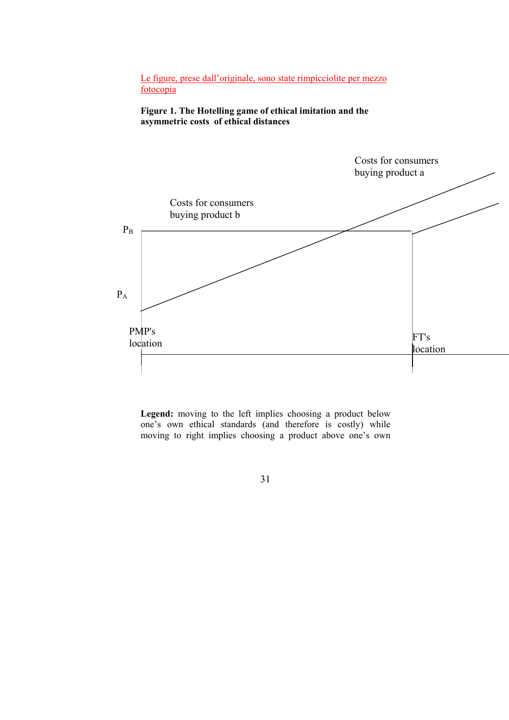Le figure, prese dall'originale, sono state rimpicciolite per mezzo fotocopia

**Figure 1. The Hotelling game of ethical imitation and the asymmetric costs of ethical distances** 



**Legend:** moving to the left implies choosing a product below one's own ethical standards (and therefore is costly) while moving to right implies choosing a product above one's own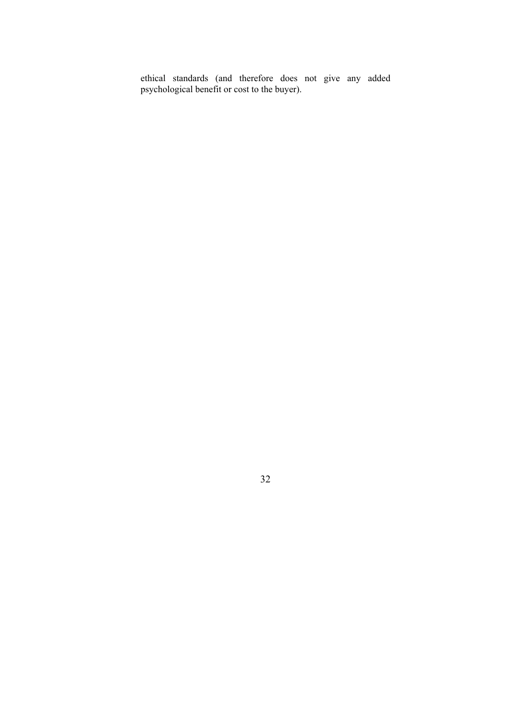ethical standards (and therefore does not give any added psychological benefit or cost to the buyer).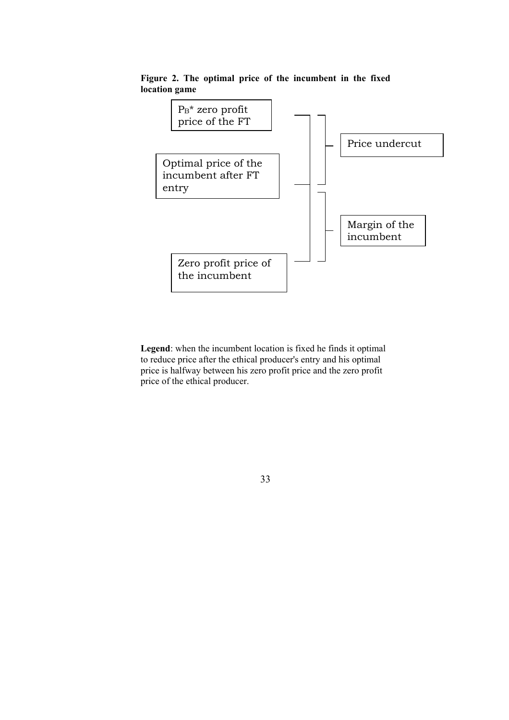

**Figure 2. The optimal price of the incumbent in the fixed location game** 

**Legend**: when the incumbent location is fixed he finds it optimal to reduce price after the ethical producer's entry and his optimal price is halfway between his zero profit price and the zero profit price of the ethical producer.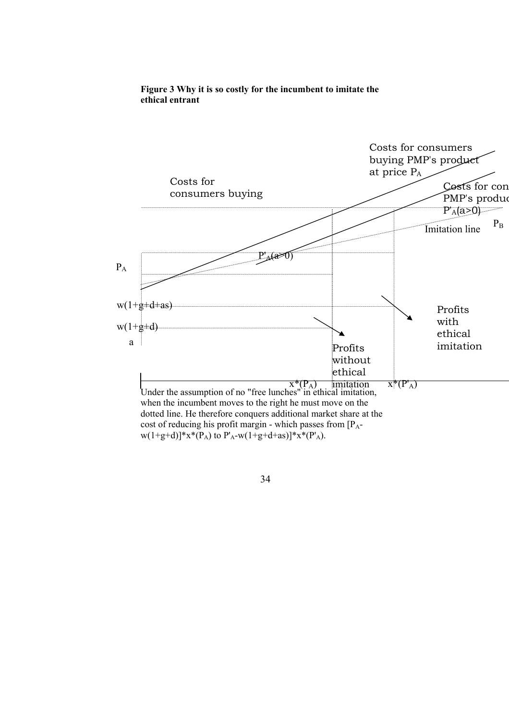

# **Figure 3 Why it is so costly for the incumbent to imitate the ethical entrant**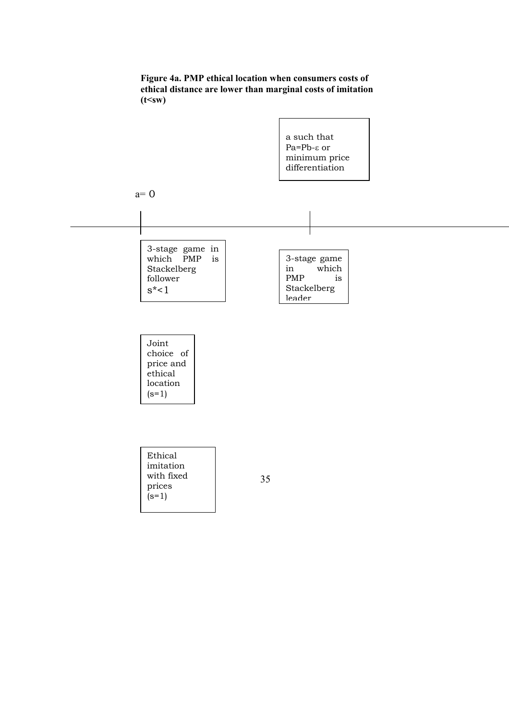

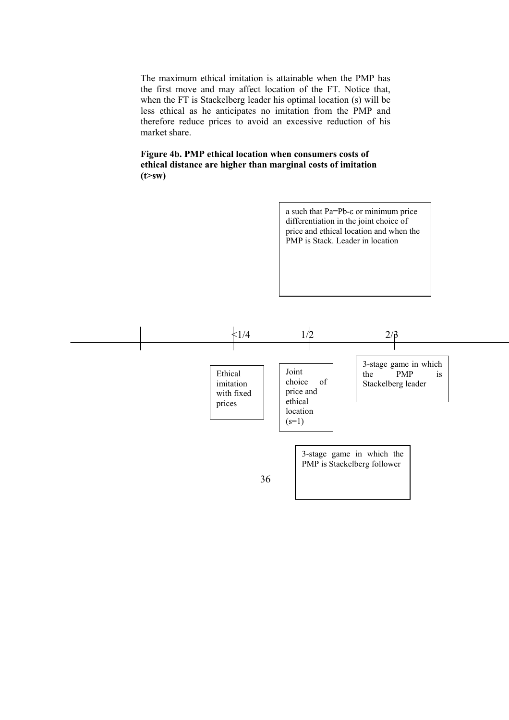The maximum ethical imitation is attainable when the PMP has the first move and may affect location of the FT. Notice that, when the FT is Stackelberg leader his optimal location (s) will be less ethical as he anticipates no imitation from the PMP and therefore reduce prices to avoid an excessive reduction of his market share.

## **Figure 4b. PMP ethical location when consumers costs of ethical distance are higher than marginal costs of imitation (t>sw)**